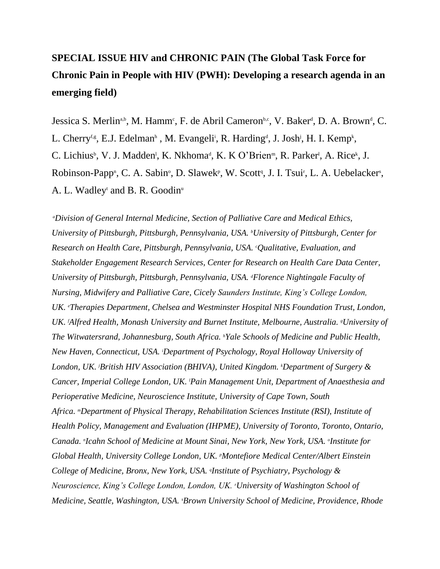# **SPECIAL ISSUE HIV and CHRONIC PAIN (The Global Task Force for Chronic Pain in People with HIV (PWH): Developing a research agenda in an emerging field)**

Jessica S. Merlin<sup>a,b</sup>, M. Hamm<sup>c</sup>, F. de Abril Cameron<sup>b,c</sup>, V. Baker<sup>d</sup>, D. A. Brown<sup>d</sup>, C. L. Cherry<sup>f,g</sup>, E.J. Edelman<sup>h</sup>, M. Evangeli<sup>i</sup>, R. Harding<sup>d</sup>, J. Josh<sup>j</sup>, H. I. Kemp<sup>k</sup>, C. Lichius<sup>b</sup>, V. J. Madden<sup>1</sup>, K. Nkhoma<sup>d</sup>, K. K O'Brien<sup>m</sup>, R. Parker<sup>1</sup>, A. Rice<sup>k</sup>, J. Robinson-Papp<sup>n</sup>, C. A. Sabin<sup>o</sup>, D. Slawek<sup>p</sup>, W. Scott<sup>q</sup>, J. I. Tsui<sup>r</sup>, L. A. Uebelacker<sup>s</sup>, A. L. Wadleyt and B. R. Goodin<sup>u</sup>

*<sup>a</sup>Division of General Internal Medicine, Section of Palliative Care and Medical Ethics, University of Pittsburgh, Pittsburgh, Pennsylvania, USA. <sup>b</sup>University of Pittsburgh, Center for Research on Health Care, Pittsburgh, Pennsylvania, USA. <sup>c</sup>Qualitative, Evaluation, and Stakeholder Engagement Research Services, Center for Research on Health Care Data Center, University of Pittsburgh, Pittsburgh, Pennsylvania, USA. <sup>d</sup>Florence Nightingale Faculty of Nursing, Midwifery and Palliative Care, Cicely Saunders Institute, King's College London, UK. <sup>e</sup>Therapies Department, Chelsea and Westminster Hospital NHS Foundation Trust, London, UK. <sup>f</sup>Alfred Health, Monash University and Burnet Institute, Melbourne, Australia. <sup>g</sup>University of The Witwatersrand, Johannesburg, South Africa. <sup>h</sup>Yale Schools of Medicine and Public Health, New Haven, Connecticut, USA. <sup>i</sup>Department of Psychology, Royal Holloway University of London, UK. <sup>j</sup>British HIV Association (BHIVA), United Kingdom. <sup>k</sup>Department of Surgery & Cancer, Imperial College London, UK. <sup>l</sup>Pain Management Unit, Department of Anaesthesia and Perioperative Medicine, Neuroscience Institute, University of Cape Town, South Africa. <sup>m</sup>Department of Physical Therapy, Rehabilitation Sciences Institute (RSI), Institute of Health Policy, Management and Evaluation (IHPME), University of Toronto, Toronto, Ontario, Canada. <sup>n</sup> Icahn School of Medicine at Mount Sinai, New York, New York, USA. <sup>o</sup> Institute for Global Health, University College London, UK. <sup>p</sup>Montefiore Medical Center/Albert Einstein College of Medicine, Bronx, New York, USA. <sup>q</sup> Institute of Psychiatry, Psychology & Neuroscience, King's College London, London, UK. <sup>r</sup>University of Washington School of Medicine, Seattle, Washington, USA. <sup>s</sup>Brown University School of Medicine, Providence, Rhode*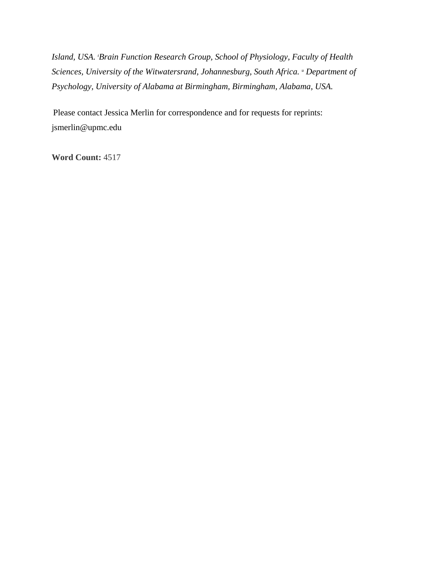*Island, USA. <sup>t</sup>Brain Function Research Group, School of Physiology, Faculty of Health Sciences, University of the Witwatersrand, Johannesburg, South Africa. <sup>u</sup> Department of Psychology, University of Alabama at Birmingham, Birmingham, Alabama, USA.*

Please contact Jessica Merlin for correspondence and for requests for reprints: jsmerlin@upmc.edu

**Word Count:** 4517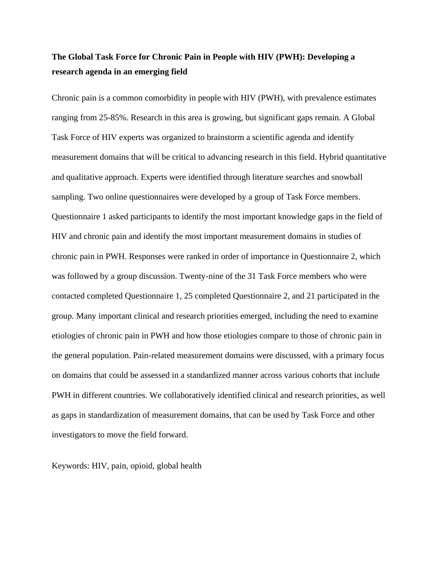## **The Global Task Force for Chronic Pain in People with HIV (PWH): Developing a research agenda in an emerging field**

Chronic pain is a common comorbidity in people with HIV (PWH), with prevalence estimates ranging from 25-85%. Research in this area is growing, but significant gaps remain. A Global Task Force of HIV experts was organized to brainstorm a scientific agenda and identify measurement domains that will be critical to advancing research in this field. Hybrid quantitative and qualitative approach. Experts were identified through literature searches and snowball sampling. Two online questionnaires were developed by a group of Task Force members. Questionnaire 1 asked participants to identify the most important knowledge gaps in the field of HIV and chronic pain and identify the most important measurement domains in studies of chronic pain in PWH. Responses were ranked in order of importance in Questionnaire 2, which was followed by a group discussion. Twenty-nine of the 31 Task Force members who were contacted completed Questionnaire 1, 25 completed Questionnaire 2, and 21 participated in the group. Many important clinical and research priorities emerged, including the need to examine etiologies of chronic pain in PWH and how those etiologies compare to those of chronic pain in the general population. Pain-related measurement domains were discussed, with a primary focus on domains that could be assessed in a standardized manner across various cohorts that include PWH in different countries. We collaboratively identified clinical and research priorities, as well as gaps in standardization of measurement domains, that can be used by Task Force and other investigators to move the field forward.

Keywords: HIV, pain, opioid, global health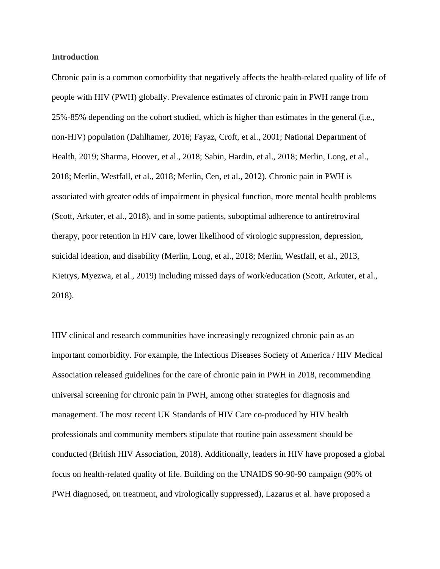### **Introduction**

Chronic pain is a common comorbidity that negatively affects the health-related quality of life of people with HIV (PWH) globally. Prevalence estimates of chronic pain in PWH range from 25%-85% depending on the cohort studied, which is higher than estimates in the general (i.e., non-HIV) population (Dahlhamer, 2016; Fayaz, Croft, et al., 2001; National Department of Health, 2019; Sharma, Hoover, et al., 2018; Sabin, Hardin, et al., 2018; Merlin, Long, et al., 2018; Merlin, Westfall, et al., 2018; Merlin, Cen, et al., 2012). Chronic pain in PWH is associated with greater odds of impairment in physical function, more mental health problems (Scott, Arkuter, et al., 2018), and in some patients, suboptimal adherence to antiretroviral therapy, poor retention in HIV care, lower likelihood of virologic suppression, depression, suicidal ideation, and disability (Merlin, Long, et al., 2018; Merlin, Westfall, et al., 2013, Kietrys, Myezwa, et al., 2019) including missed days of work/education (Scott, Arkuter, et al., 2018).

HIV clinical and research communities have increasingly recognized chronic pain as an important comorbidity. For example, the Infectious Diseases Society of America / HIV Medical Association released guidelines for the care of chronic pain in PWH in 2018, recommending universal screening for chronic pain in PWH, among other strategies for diagnosis and management. The most recent UK Standards of HIV Care co-produced by HIV health professionals and community members stipulate that routine pain assessment should be conducted (British HIV Association, 2018). Additionally, leaders in HIV have proposed a global focus on health-related quality of life. Building on the UNAIDS 90-90-90 campaign (90% of PWH diagnosed, on treatment, and virologically suppressed), Lazarus et al. have proposed a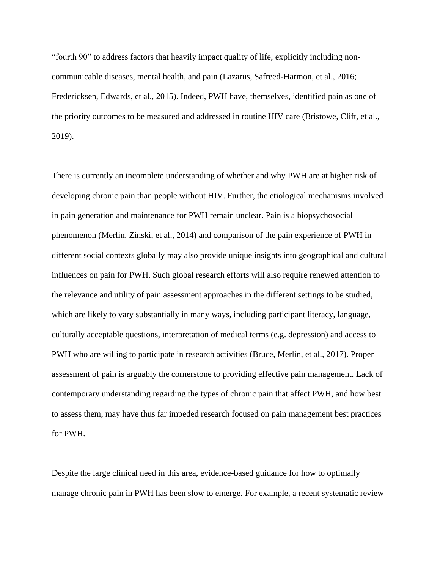"fourth 90" to address factors that heavily impact quality of life, explicitly including noncommunicable diseases, mental health, and pain (Lazarus, Safreed-Harmon, et al., 2016; Fredericksen, Edwards, et al., 2015). Indeed, PWH have, themselves, identified pain as one of the priority outcomes to be measured and addressed in routine HIV care (Bristowe, Clift, et al., 2019).

There is currently an incomplete understanding of whether and why PWH are at higher risk of developing chronic pain than people without HIV. Further, the etiological mechanisms involved in pain generation and maintenance for PWH remain unclear. Pain is a biopsychosocial phenomenon (Merlin, Zinski, et al., 2014) and comparison of the pain experience of PWH in different social contexts globally may also provide unique insights into geographical and cultural influences on pain for PWH. Such global research efforts will also require renewed attention to the relevance and utility of pain assessment approaches in the different settings to be studied, which are likely to vary substantially in many ways, including participant literacy, language, culturally acceptable questions, interpretation of medical terms (e.g. depression) and access to PWH who are willing to participate in research activities (Bruce, Merlin, et al., 2017). Proper assessment of pain is arguably the cornerstone to providing effective pain management. Lack of contemporary understanding regarding the types of chronic pain that affect PWH, and how best to assess them, may have thus far impeded research focused on pain management best practices for PWH.

Despite the large clinical need in this area, evidence-based guidance for how to optimally manage chronic pain in PWH has been slow to emerge. For example, a recent systematic review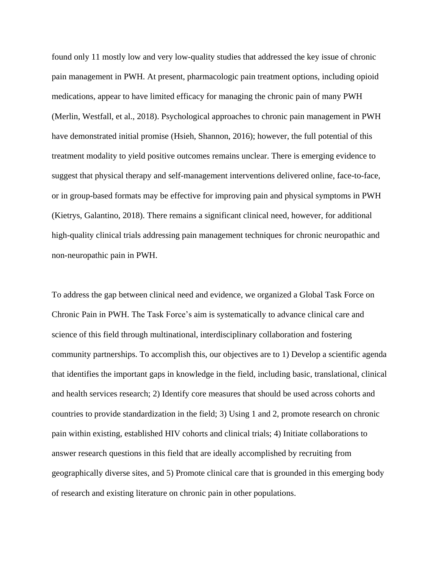found only 11 mostly low and very low-quality studies that addressed the key issue of chronic pain management in PWH. At present, pharmacologic pain treatment options, including opioid medications, appear to have limited efficacy for managing the chronic pain of many PWH (Merlin, Westfall, et al., 2018). Psychological approaches to chronic pain management in PWH have demonstrated initial promise (Hsieh, Shannon, 2016); however, the full potential of this treatment modality to yield positive outcomes remains unclear. There is emerging evidence to suggest that physical therapy and self-management interventions delivered online, face-to-face, or in group-based formats may be effective for improving pain and physical symptoms in PWH (Kietrys, Galantino, 2018). There remains a significant clinical need, however, for additional high-quality clinical trials addressing pain management techniques for chronic neuropathic and non-neuropathic pain in PWH.

To address the gap between clinical need and evidence, we organized a Global Task Force on Chronic Pain in PWH. The Task Force's aim is systematically to advance clinical care and science of this field through multinational, interdisciplinary collaboration and fostering community partnerships. To accomplish this, our objectives are to 1) Develop a scientific agenda that identifies the important gaps in knowledge in the field, including basic, translational, clinical and health services research; 2) Identify core measures that should be used across cohorts and countries to provide standardization in the field; 3) Using 1 and 2, promote research on chronic pain within existing, established HIV cohorts and clinical trials; 4) Initiate collaborations to answer research questions in this field that are ideally accomplished by recruiting from geographically diverse sites, and 5) Promote clinical care that is grounded in this emerging body of research and existing literature on chronic pain in other populations.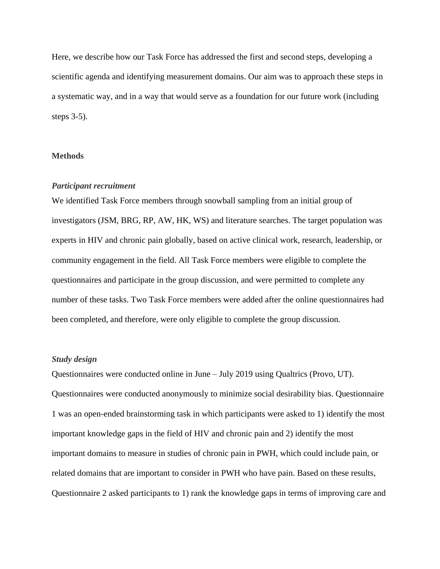Here, we describe how our Task Force has addressed the first and second steps, developing a scientific agenda and identifying measurement domains. Our aim was to approach these steps in a systematic way, and in a way that would serve as a foundation for our future work (including steps 3-5).

### **Methods**

#### *Participant recruitment*

We identified Task Force members through snowball sampling from an initial group of investigators (JSM, BRG, RP, AW, HK, WS) and literature searches. The target population was experts in HIV and chronic pain globally, based on active clinical work, research, leadership, or community engagement in the field. All Task Force members were eligible to complete the questionnaires and participate in the group discussion, and were permitted to complete any number of these tasks. Two Task Force members were added after the online questionnaires had been completed, and therefore, were only eligible to complete the group discussion.

### *Study design*

Questionnaires were conducted online in June – July 2019 using Qualtrics (Provo, UT). Questionnaires were conducted anonymously to minimize social desirability bias. Questionnaire 1 was an open-ended brainstorming task in which participants were asked to 1) identify the most important knowledge gaps in the field of HIV and chronic pain and 2) identify the most important domains to measure in studies of chronic pain in PWH, which could include pain, or related domains that are important to consider in PWH who have pain. Based on these results, Questionnaire 2 asked participants to 1) rank the knowledge gaps in terms of improving care and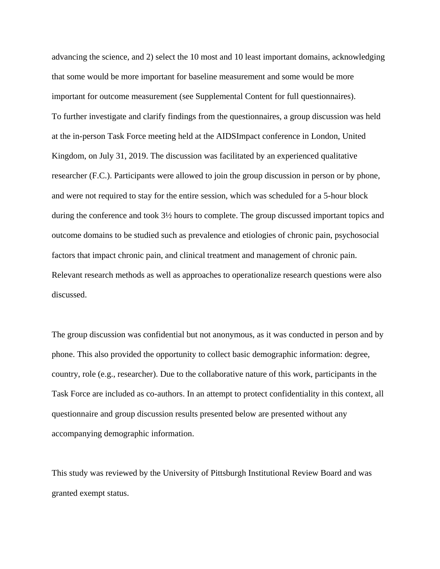advancing the science, and 2) select the 10 most and 10 least important domains, acknowledging that some would be more important for baseline measurement and some would be more important for outcome measurement (see Supplemental Content for full questionnaires). To further investigate and clarify findings from the questionnaires, a group discussion was held at the in-person Task Force meeting held at the AIDSImpact conference in London, United Kingdom, on July 31, 2019. The discussion was facilitated by an experienced qualitative researcher (F.C.). Participants were allowed to join the group discussion in person or by phone, and were not required to stay for the entire session, which was scheduled for a 5-hour block during the conference and took 3½ hours to complete. The group discussed important topics and outcome domains to be studied such as prevalence and etiologies of chronic pain, psychosocial factors that impact chronic pain, and clinical treatment and management of chronic pain. Relevant research methods as well as approaches to operationalize research questions were also discussed.

The group discussion was confidential but not anonymous, as it was conducted in person and by phone. This also provided the opportunity to collect basic demographic information: degree, country, role (e.g., researcher). Due to the collaborative nature of this work, participants in the Task Force are included as co-authors. In an attempt to protect confidentiality in this context, all questionnaire and group discussion results presented below are presented without any accompanying demographic information.

This study was reviewed by the University of Pittsburgh Institutional Review Board and was granted exempt status.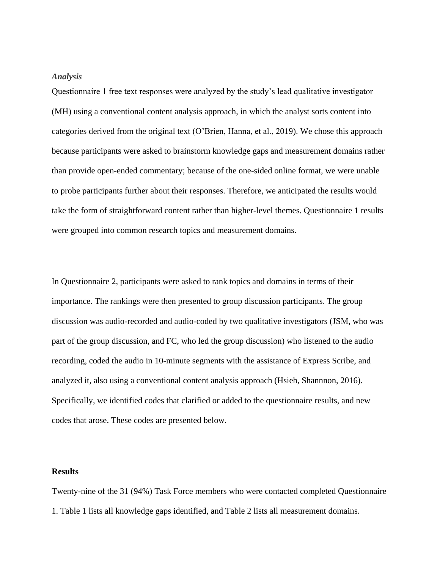### *Analysis*

Questionnaire 1 free text responses were analyzed by the study's lead qualitative investigator (MH) using a conventional content analysis approach, in which the analyst sorts content into categories derived from the original text (O'Brien, Hanna, et al., 2019). We chose this approach because participants were asked to brainstorm knowledge gaps and measurement domains rather than provide open-ended commentary; because of the one-sided online format, we were unable to probe participants further about their responses. Therefore, we anticipated the results would take the form of straightforward content rather than higher-level themes. Questionnaire 1 results were grouped into common research topics and measurement domains.

In Questionnaire 2, participants were asked to rank topics and domains in terms of their importance. The rankings were then presented to group discussion participants. The group discussion was audio-recorded and audio-coded by two qualitative investigators (JSM, who was part of the group discussion, and FC, who led the group discussion) who listened to the audio recording, coded the audio in 10-minute segments with the assistance of Express Scribe, and analyzed it, also using a conventional content analysis approach (Hsieh, Shannnon, 2016). Specifically, we identified codes that clarified or added to the questionnaire results, and new codes that arose. These codes are presented below.

### **Results**

Twenty-nine of the 31 (94%) Task Force members who were contacted completed Questionnaire 1. Table 1 lists all knowledge gaps identified, and Table 2 lists all measurement domains.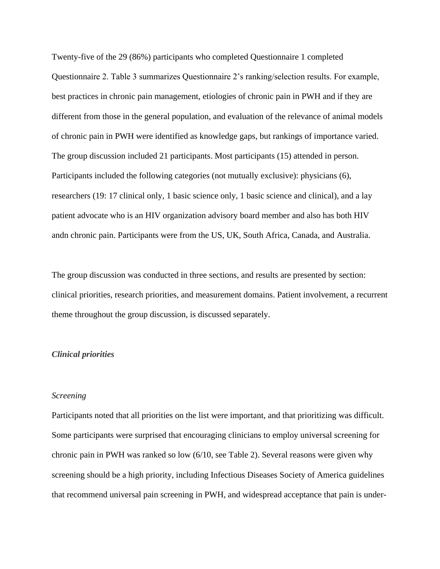Twenty-five of the 29 (86%) participants who completed Questionnaire 1 completed Questionnaire 2. Table 3 summarizes Questionnaire 2's ranking/selection results. For example, best practices in chronic pain management, etiologies of chronic pain in PWH and if they are different from those in the general population, and evaluation of the relevance of animal models of chronic pain in PWH were identified as knowledge gaps, but rankings of importance varied. The group discussion included 21 participants. Most participants (15) attended in person. Participants included the following categories (not mutually exclusive): physicians (6), researchers (19: 17 clinical only, 1 basic science only, 1 basic science and clinical), and a lay patient advocate who is an HIV organization advisory board member and also has both HIV andn chronic pain. Participants were from the US, UK, South Africa, Canada, and Australia.

The group discussion was conducted in three sections, and results are presented by section: clinical priorities, research priorities, and measurement domains. Patient involvement, a recurrent theme throughout the group discussion, is discussed separately.

#### *Clinical priorities*

### *Screening*

Participants noted that all priorities on the list were important, and that prioritizing was difficult. Some participants were surprised that encouraging clinicians to employ universal screening for chronic pain in PWH was ranked so low (6/10, see Table 2). Several reasons were given why screening should be a high priority, including Infectious Diseases Society of America guidelines that recommend universal pain screening in PWH, and widespread acceptance that pain is under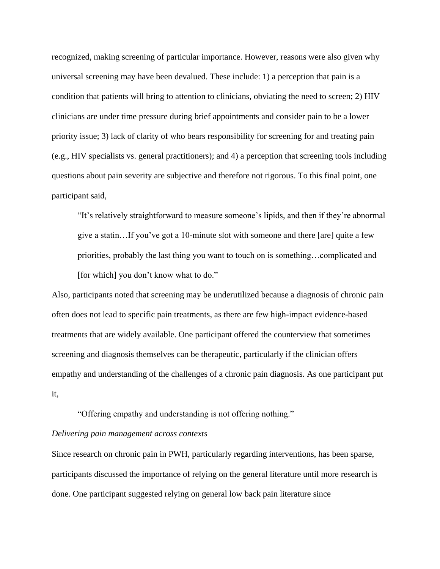recognized, making screening of particular importance. However, reasons were also given why universal screening may have been devalued. These include: 1) a perception that pain is a condition that patients will bring to attention to clinicians, obviating the need to screen; 2) HIV clinicians are under time pressure during brief appointments and consider pain to be a lower priority issue; 3) lack of clarity of who bears responsibility for screening for and treating pain (e.g., HIV specialists vs. general practitioners); and 4) a perception that screening tools including questions about pain severity are subjective and therefore not rigorous. To this final point, one participant said,

"It's relatively straightforward to measure someone's lipids, and then if they're abnormal give a statin…If you've got a 10-minute slot with someone and there [are] quite a few priorities, probably the last thing you want to touch on is something…complicated and [for which] you don't know what to do."

Also, participants noted that screening may be underutilized because a diagnosis of chronic pain often does not lead to specific pain treatments, as there are few high-impact evidence-based treatments that are widely available. One participant offered the counterview that sometimes screening and diagnosis themselves can be therapeutic, particularly if the clinician offers empathy and understanding of the challenges of a chronic pain diagnosis. As one participant put it,

"Offering empathy and understanding is not offering nothing."

### *Delivering pain management across contexts*

Since research on chronic pain in PWH, particularly regarding interventions, has been sparse, participants discussed the importance of relying on the general literature until more research is done. One participant suggested relying on general low back pain literature since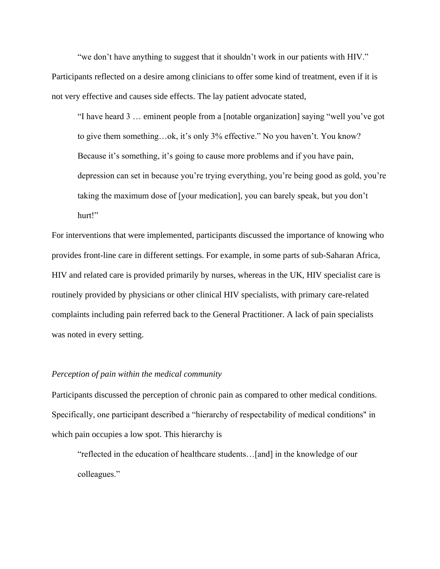"we don't have anything to suggest that it shouldn't work in our patients with HIV." Participants reflected on a desire among clinicians to offer some kind of treatment, even if it is not very effective and causes side effects. The lay patient advocate stated,

"I have heard 3 … eminent people from a [notable organization] saying "well you've got to give them something…ok, it's only 3% effective." No you haven't. You know? Because it's something, it's going to cause more problems and if you have pain, depression can set in because you're trying everything, you're being good as gold, you're taking the maximum dose of [your medication], you can barely speak, but you don't hurt!"

For interventions that were implemented, participants discussed the importance of knowing who provides front-line care in different settings. For example, in some parts of sub-Saharan Africa, HIV and related care is provided primarily by nurses, whereas in the UK, HIV specialist care is routinely provided by physicians or other clinical HIV specialists, with primary care-related complaints including pain referred back to the General Practitioner. A lack of pain specialists was noted in every setting.

### *Perception of pain within the medical community*

Participants discussed the perception of chronic pain as compared to other medical conditions. Specifically, one participant described a "hierarchy of respectability of medical conditions" in which pain occupies a low spot. This hierarchy is

"reflected in the education of healthcare students…[and] in the knowledge of our colleagues."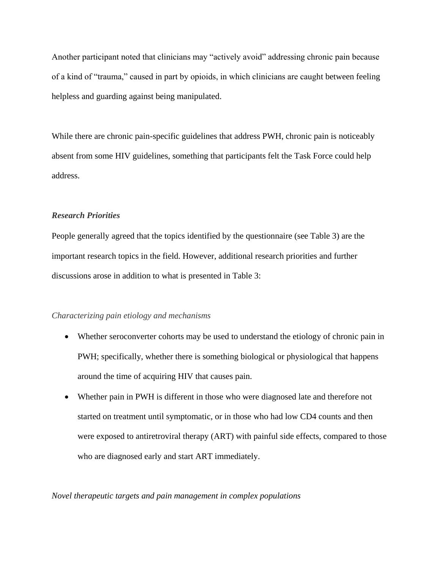Another participant noted that clinicians may "actively avoid" addressing chronic pain because of a kind of "trauma," caused in part by opioids, in which clinicians are caught between feeling helpless and guarding against being manipulated.

While there are chronic pain-specific guidelines that address PWH, chronic pain is noticeably absent from some HIV guidelines, something that participants felt the Task Force could help address.

### *Research Priorities*

People generally agreed that the topics identified by the questionnaire (see Table 3) are the important research topics in the field. However, additional research priorities and further discussions arose in addition to what is presented in Table 3:

### *Characterizing pain etiology and mechanisms*

- Whether seroconverter cohorts may be used to understand the etiology of chronic pain in PWH; specifically, whether there is something biological or physiological that happens around the time of acquiring HIV that causes pain.
- Whether pain in PWH is different in those who were diagnosed late and therefore not started on treatment until symptomatic, or in those who had low CD4 counts and then were exposed to antiretroviral therapy (ART) with painful side effects, compared to those who are diagnosed early and start ART immediately.

*Novel therapeutic targets and pain management in complex populations*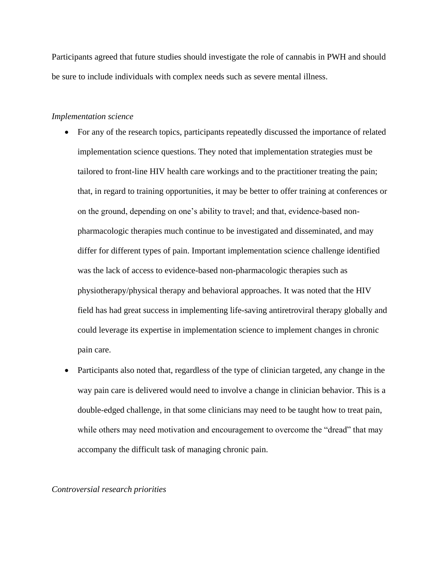Participants agreed that future studies should investigate the role of cannabis in PWH and should be sure to include individuals with complex needs such as severe mental illness.

### *Implementation science*

- For any of the research topics, participants repeatedly discussed the importance of related implementation science questions. They noted that implementation strategies must be tailored to front-line HIV health care workings and to the practitioner treating the pain; that, in regard to training opportunities, it may be better to offer training at conferences or on the ground, depending on one's ability to travel; and that, evidence-based nonpharmacologic therapies much continue to be investigated and disseminated, and may differ for different types of pain. Important implementation science challenge identified was the lack of access to evidence-based non-pharmacologic therapies such as physiotherapy/physical therapy and behavioral approaches. It was noted that the HIV field has had great success in implementing life-saving antiretroviral therapy globally and could leverage its expertise in implementation science to implement changes in chronic pain care.
- Participants also noted that, regardless of the type of clinician targeted, any change in the way pain care is delivered would need to involve a change in clinician behavior. This is a double-edged challenge, in that some clinicians may need to be taught how to treat pain, while others may need motivation and encouragement to overcome the "dread" that may accompany the difficult task of managing chronic pain.

### *Controversial research priorities*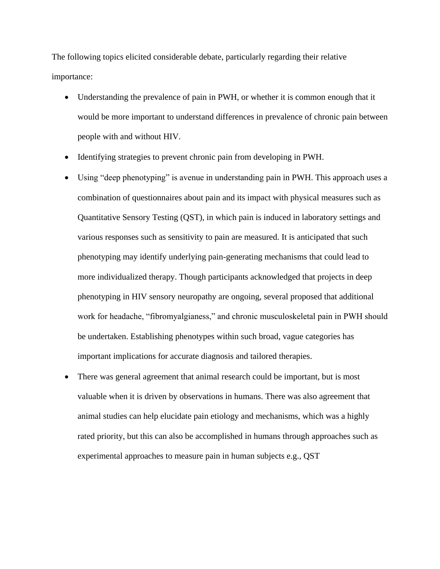The following topics elicited considerable debate, particularly regarding their relative importance:

- Understanding the prevalence of pain in PWH, or whether it is common enough that it would be more important to understand differences in prevalence of chronic pain between people with and without HIV.
- Identifying strategies to prevent chronic pain from developing in PWH.
- Using "deep phenotyping" is avenue in understanding pain in PWH. This approach uses a combination of questionnaires about pain and its impact with physical measures such as Quantitative Sensory Testing (QST), in which pain is induced in laboratory settings and various responses such as sensitivity to pain are measured. It is anticipated that such phenotyping may identify underlying pain-generating mechanisms that could lead to more individualized therapy. Though participants acknowledged that projects in deep phenotyping in HIV sensory neuropathy are ongoing, several proposed that additional work for headache, "fibromyalgianess," and chronic musculoskeletal pain in PWH should be undertaken. Establishing phenotypes within such broad, vague categories has important implications for accurate diagnosis and tailored therapies.
- There was general agreement that animal research could be important, but is most valuable when it is driven by observations in humans. There was also agreement that animal studies can help elucidate pain etiology and mechanisms, which was a highly rated priority, but this can also be accomplished in humans through approaches such as experimental approaches to measure pain in human subjects e.g., QST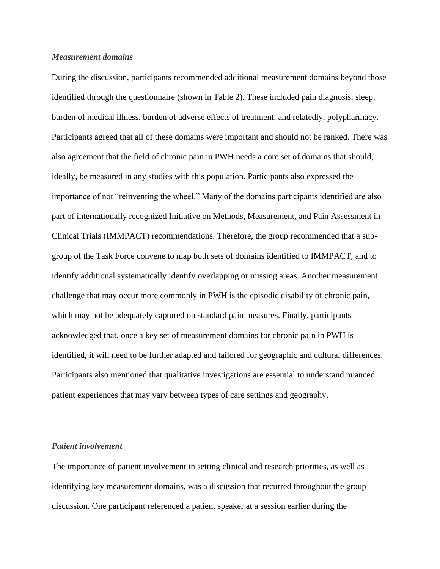### *Measurement domains*

During the discussion, participants recommended additional measurement domains beyond those identified through the questionnaire (shown in Table 2). These included pain diagnosis, sleep, burden of medical illness, burden of adverse effects of treatment, and relatedly, polypharmacy. Participants agreed that all of these domains were important and should not be ranked. There was also agreement that the field of chronic pain in PWH needs a core set of domains that should, ideally, be measured in any studies with this population. Participants also expressed the importance of not "reinventing the wheel." Many of the domains participants identified are also part of internationally recognized Initiative on Methods, Measurement, and Pain Assessment in Clinical Trials (IMMPACT) recommendations. Therefore, the group recommended that a subgroup of the Task Force convene to map both sets of domains identified to IMMPACT, and to identify additional systematically identify overlapping or missing areas. Another measurement challenge that may occur more commonly in PWH is the episodic disability of chronic pain, which may not be adequately captured on standard pain measures. Finally, participants acknowledged that, once a key set of measurement domains for chronic pain in PWH is identified, it will need to be further adapted and tailored for geographic and cultural differences. Participants also mentioned that qualitative investigations are essential to understand nuanced patient experiences that may vary between types of care settings and geography.

### *Patient involvement*

The importance of patient involvement in setting clinical and research priorities, as well as identifying key measurement domains, was a discussion that recurred throughout the group discussion. One participant referenced a patient speaker at a session earlier during the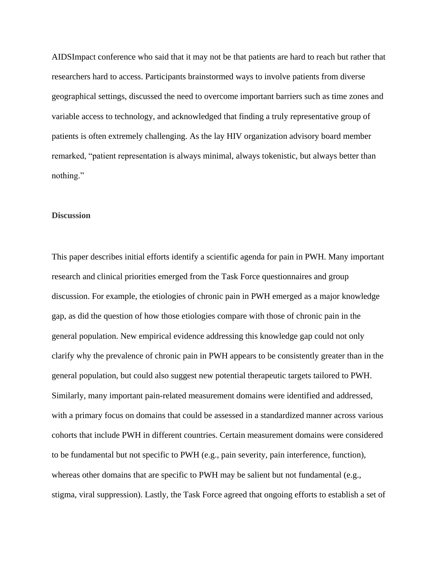AIDSImpact conference who said that it may not be that patients are hard to reach but rather that researchers hard to access. Participants brainstormed ways to involve patients from diverse geographical settings, discussed the need to overcome important barriers such as time zones and variable access to technology, and acknowledged that finding a truly representative group of patients is often extremely challenging. As the lay HIV organization advisory board member remarked, "patient representation is always minimal, always tokenistic, but always better than nothing."

### **Discussion**

This paper describes initial efforts identify a scientific agenda for pain in PWH. Many important research and clinical priorities emerged from the Task Force questionnaires and group discussion. For example, the etiologies of chronic pain in PWH emerged as a major knowledge gap, as did the question of how those etiologies compare with those of chronic pain in the general population. New empirical evidence addressing this knowledge gap could not only clarify why the prevalence of chronic pain in PWH appears to be consistently greater than in the general population, but could also suggest new potential therapeutic targets tailored to PWH. Similarly, many important pain-related measurement domains were identified and addressed, with a primary focus on domains that could be assessed in a standardized manner across various cohorts that include PWH in different countries. Certain measurement domains were considered to be fundamental but not specific to PWH (e.g., pain severity, pain interference, function), whereas other domains that are specific to PWH may be salient but not fundamental (e.g., stigma, viral suppression). Lastly, the Task Force agreed that ongoing efforts to establish a set of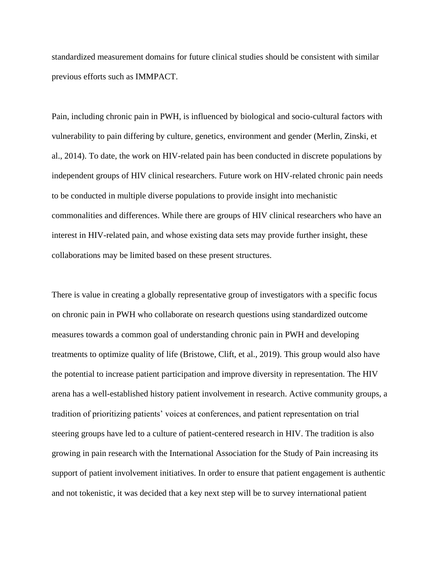standardized measurement domains for future clinical studies should be consistent with similar previous efforts such as IMMPACT.

Pain, including chronic pain in PWH, is influenced by biological and socio-cultural factors with vulnerability to pain differing by culture, genetics, environment and gender (Merlin, Zinski, et al., 2014). To date, the work on HIV-related pain has been conducted in discrete populations by independent groups of HIV clinical researchers. Future work on HIV-related chronic pain needs to be conducted in multiple diverse populations to provide insight into mechanistic commonalities and differences. While there are groups of HIV clinical researchers who have an interest in HIV-related pain, and whose existing data sets may provide further insight, these collaborations may be limited based on these present structures.

There is value in creating a globally representative group of investigators with a specific focus on chronic pain in PWH who collaborate on research questions using standardized outcome measures towards a common goal of understanding chronic pain in PWH and developing treatments to optimize quality of life (Bristowe, Clift, et al., 2019). This group would also have the potential to increase patient participation and improve diversity in representation. The HIV arena has a well-established history patient involvement in research. Active community groups, a tradition of prioritizing patients' voices at conferences, and patient representation on trial steering groups have led to a culture of patient-centered research in HIV. The tradition is also growing in pain research with the International Association for the Study of Pain increasing its support of patient involvement initiatives. In order to ensure that patient engagement is authentic and not tokenistic, it was decided that a key next step will be to survey international patient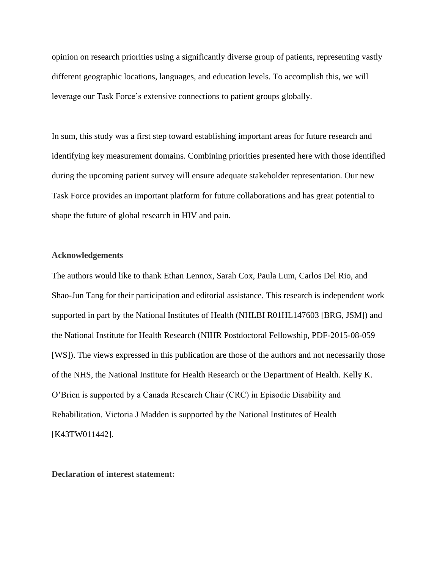opinion on research priorities using a significantly diverse group of patients, representing vastly different geographic locations, languages, and education levels. To accomplish this, we will leverage our Task Force's extensive connections to patient groups globally.

In sum, this study was a first step toward establishing important areas for future research and identifying key measurement domains. Combining priorities presented here with those identified during the upcoming patient survey will ensure adequate stakeholder representation. Our new Task Force provides an important platform for future collaborations and has great potential to shape the future of global research in HIV and pain.

### **Acknowledgements**

The authors would like to thank Ethan Lennox, Sarah Cox, Paula Lum, Carlos Del Rio, and Shao-Jun Tang for their participation and editorial assistance. This research is independent work supported in part by the National Institutes of Health (NHLBI R01HL147603 [BRG, JSM]) and the National Institute for Health Research (NIHR Postdoctoral Fellowship, PDF-2015-08-059 [WS]). The views expressed in this publication are those of the authors and not necessarily those of the NHS, the National Institute for Health Research or the Department of Health. Kelly K. O'Brien is supported by a Canada Research Chair (CRC) in Episodic Disability and Rehabilitation. Victoria J Madden is supported by the National Institutes of Health [K43TW011442].

**Declaration of interest statement:**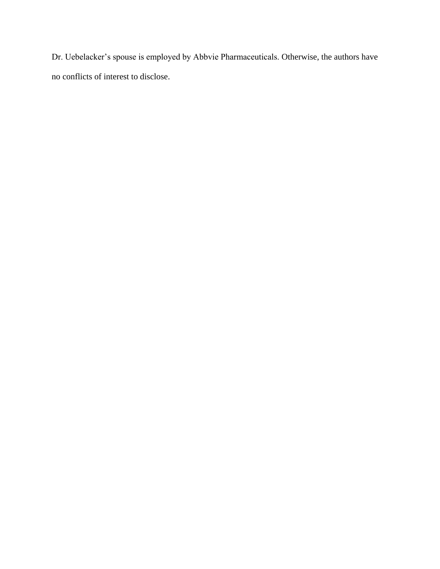Dr. Uebelacker's spouse is employed by Abbvie Pharmaceuticals. Otherwise, the authors have no conflicts of interest to disclose.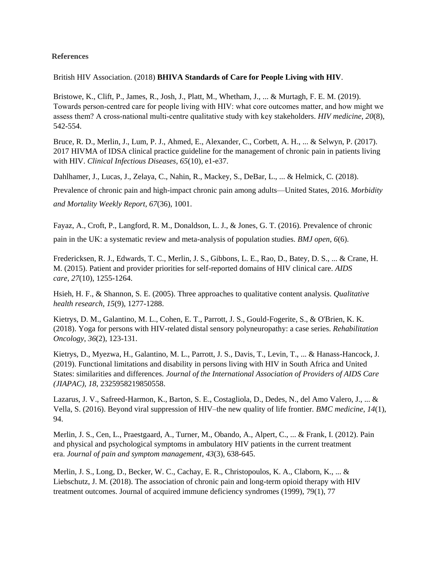### **References**

British HIV Association. (2018) **BHIVA Standards of Care for People Living with HIV**.

Bristowe, K., Clift, P., James, R., Josh, J., Platt, M., Whetham, J., ... & Murtagh, F. E. M. (2019). Towards person‐centred care for people living with HIV: what core outcomes matter, and how might we assess them? A cross‐national multi‐centre qualitative study with key stakeholders. *HIV medicine*, *20*(8), 542-554.

Bruce, R. D., Merlin, J., Lum, P. J., Ahmed, E., Alexander, C., Corbett, A. H., ... & Selwyn, P. (2017). 2017 HIVMA of IDSA clinical practice guideline for the management of chronic pain in patients living with HIV. *Clinical Infectious Diseases*, *65*(10), e1-e37.

Dahlhamer, J., Lucas, J., Zelaya, C., Nahin, R., Mackey, S., DeBar, L., ... & Helmick, C. (2018).

Prevalence of chronic pain and high-impact chronic pain among adults—United States, 2016. *Morbidity and Mortality Weekly Report*, *67*(36), 1001.

Fayaz, A., Croft, P., Langford, R. M., Donaldson, L. J., & Jones, G. T. (2016). Prevalence of chronic pain in the UK: a systematic review and meta-analysis of population studies. *BMJ open*, *6*(6).

Fredericksen, R. J., Edwards, T. C., Merlin, J. S., Gibbons, L. E., Rao, D., Batey, D. S., ... & Crane, H. M. (2015). Patient and provider priorities for self-reported domains of HIV clinical care. *AIDS care*, *27*(10), 1255-1264.

Hsieh, H. F., & Shannon, S. E. (2005). Three approaches to qualitative content analysis. *Qualitative health research*, *15*(9), 1277-1288.

Kietrys, D. M., Galantino, M. L., Cohen, E. T., Parrott, J. S., Gould-Fogerite, S., & O'Brien, K. K. (2018). Yoga for persons with HIV-related distal sensory polyneuropathy: a case series. *Rehabilitation Oncology*, *36*(2), 123-131.

Kietrys, D., Myezwa, H., Galantino, M. L., Parrott, J. S., Davis, T., Levin, T., ... & Hanass-Hancock, J. (2019). Functional limitations and disability in persons living with HIV in South Africa and United States: similarities and differences. *Journal of the International Association of Providers of AIDS Care (JIAPAC)*, *18*, 2325958219850558.

Lazarus, J. V., Safreed-Harmon, K., Barton, S. E., Costagliola, D., Dedes, N., del Amo Valero, J., ... & Vella, S. (2016). Beyond viral suppression of HIV–the new quality of life frontier. *BMC medicine*, *14*(1), 94.

Merlin, J. S., Cen, L., Praestgaard, A., Turner, M., Obando, A., Alpert, C., ... & Frank, I. (2012). Pain and physical and psychological symptoms in ambulatory HIV patients in the current treatment era. *Journal of pain and symptom management*, *43*(3), 638-645.

Merlin, J. S., Long, D., Becker, W. C., Cachay, E. R., Christopoulos, K. A., Claborn, K., ... & Liebschutz, J. M. (2018). The association of chronic pain and long-term opioid therapy with HIV treatment outcomes. Journal of acquired immune deficiency syndromes (1999), 79(1), 77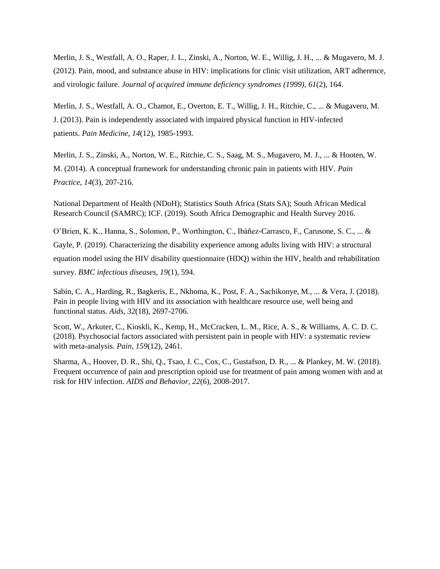Merlin, J. S., Westfall, A. O., Raper, J. L., Zinski, A., Norton, W. E., Willig, J. H., ... & Mugavero, M. J. (2012). Pain, mood, and substance abuse in HIV: implications for clinic visit utilization, ART adherence, and virologic failure. *Journal of acquired immune deficiency syndromes (1999)*, *61*(2), 164.

Merlin, J. S., Westfall, A. O., Chamot, E., Overton, E. T., Willig, J. H., Ritchie, C., ... & Mugavero, M. J. (2013). Pain is independently associated with impaired physical function in HIV-infected patients. *Pain Medicine*, *14*(12), 1985-1993.

Merlin, J. S., Zinski, A., Norton, W. E., Ritchie, C. S., Saag, M. S., Mugavero, M. J., ... & Hooten, W. M. (2014). A conceptual framework for understanding chronic pain in patients with HIV. *Pain Practice*, *14*(3), 207-216.

National Department of Health (NDoH); Statistics South Africa (Stats SA); South African Medical Research Council (SAMRC); ICF. (2019). South Africa Demographic and Health Survey 2016.

O'Brien, K. K., Hanna, S., Solomon, P., Worthington, C., Ibáñez-Carrasco, F., Carusone, S. C., ... & Gayle, P. (2019). Characterizing the disability experience among adults living with HIV: a structural equation model using the HIV disability questionnaire (HDQ) within the HIV, health and rehabilitation survey. *BMC infectious diseases*, *19*(1), 594.

Sabin, C. A., Harding, R., Bagkeris, E., Nkhoma, K., Post, F. A., Sachikonye, M., ... & Vera, J. (2018). Pain in people living with HIV and its association with healthcare resource use, well being and functional status. *Aids*, *32*(18), 2697-2706.

Scott, W., Arkuter, C., Kioskli, K., Kemp, H., McCracken, L. M., Rice, A. S., & Williams, A. C. D. C. (2018). Psychosocial factors associated with persistent pain in people with HIV: a systematic review with meta-analysis. *Pain*, *159*(12), 2461.

Sharma, A., Hoover, D. R., Shi, Q., Tsao, J. C., Cox, C., Gustafson, D. R., ... & Plankey, M. W. (2018). Frequent occurrence of pain and prescription opioid use for treatment of pain among women with and at risk for HIV infection. *AIDS and Behavior*, *22*(6), 2008-2017.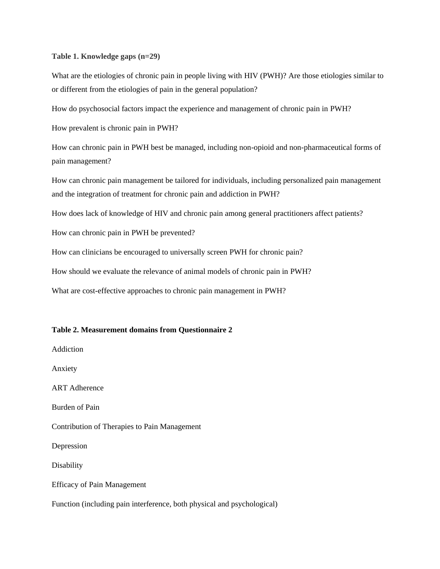#### **Table 1. Knowledge gaps (n=29)**

What are the etiologies of chronic pain in people living with HIV (PWH)? Are those etiologies similar to or different from the etiologies of pain in the general population?

How do psychosocial factors impact the experience and management of chronic pain in PWH?

How prevalent is chronic pain in PWH?

How can chronic pain in PWH best be managed, including non-opioid and non-pharmaceutical forms of pain management?

How can chronic pain management be tailored for individuals, including personalized pain management and the integration of treatment for chronic pain and addiction in PWH?

How does lack of knowledge of HIV and chronic pain among general practitioners affect patients?

How can chronic pain in PWH be prevented?

How can clinicians be encouraged to universally screen PWH for chronic pain?

How should we evaluate the relevance of animal models of chronic pain in PWH?

What are cost-effective approaches to chronic pain management in PWH?

#### **Table 2. Measurement domains from Questionnaire 2**

Addiction

Anxiety

ART Adherence

Burden of Pain

Contribution of Therapies to Pain Management

Depression

Disability

Efficacy of Pain Management

Function (including pain interference, both physical and psychological)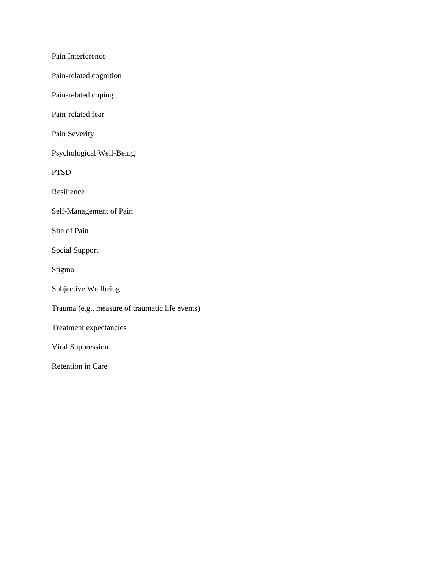Pain Interference

Pain-related cognition

Pain-related coping

Pain-related fear

Pain Severity

Psychological Well-Being

PTSD

Resilience

Self-Management of Pain

Site of Pain

Social Support

Stigma

Subjective Wellbeing

Trauma (e.g., measure of traumatic life events)

Treatment expectancies

Viral Suppression

Retention in Care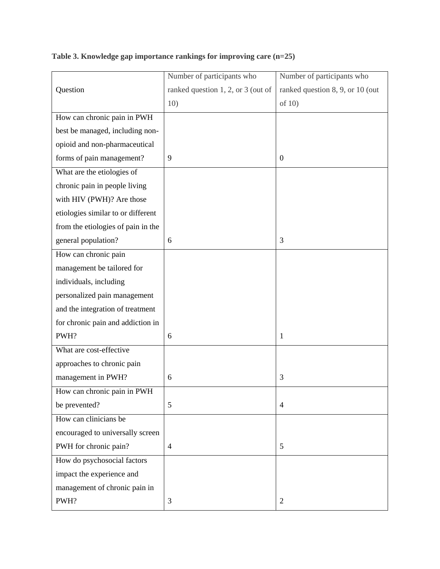**Question** Number of participants who ranked question 1, 2, or 3 (out of 10) Number of participants who ranked question 8, 9, or 10 (out of 10) How can chronic pain in PWH best be managed, including nonopioid and non-pharmaceutical forms of pain management?  $\begin{array}{|c|c|} \hline \end{array}$  9 0 What are the etiologies of chronic pain in people living with HIV (PWH)? Are those etiologies similar to or different from the etiologies of pain in the general population? 6 3 How can chronic pain management be tailored for individuals, including personalized pain management and the integration of treatment for chronic pain and addiction in PWH? 1 What are cost-effective approaches to chronic pain management in PWH? 6 3 How can chronic pain in PWH be prevented?  $\boxed{5}$  4 How can clinicians be encouraged to universally screen PWH for chronic pain?  $\begin{array}{|c|c|} \hline 4 & 5 \\ \hline \end{array}$ How do psychosocial factors impact the experience and management of chronic pain in PWH? 2

**Table 3. Knowledge gap importance rankings for improving care (n=25)**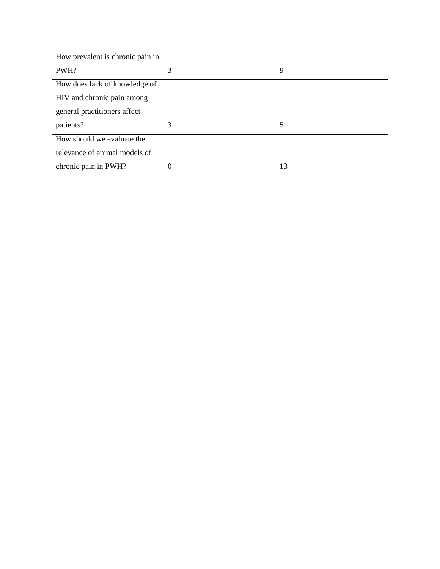| How prevalent is chronic pain in |          |    |
|----------------------------------|----------|----|
| PWH?                             | 3        | 9  |
| How does lack of knowledge of    |          |    |
| HIV and chronic pain among       |          |    |
| general practitioners affect     |          |    |
| patients?                        | 3        | 5  |
| How should we evaluate the       |          |    |
| relevance of animal models of    |          |    |
| chronic pain in PWH?             | $\theta$ | 13 |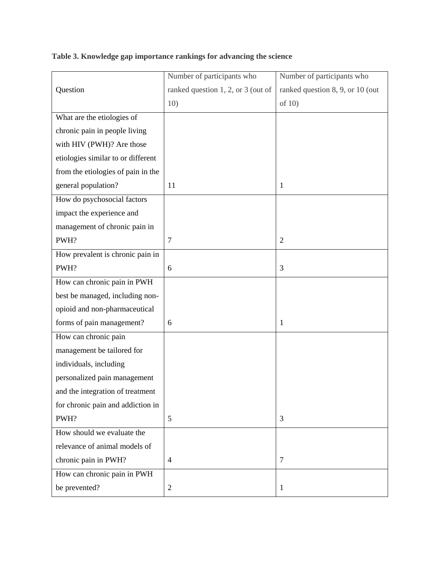**Question** Number of participants who ranked question 1, 2, or 3 (out of 10) Number of participants who ranked question 8, 9, or 10 (out of 10) What are the etiologies of chronic pain in people living with HIV (PWH)? Are those etiologies similar to or different from the etiologies of pain in the general population? 11 11 11 11 11 How do psychosocial factors impact the experience and management of chronic pain in PWH? 2 How prevalent is chronic pain in PWH? 6 3 How can chronic pain in PWH best be managed, including nonopioid and non-pharmaceutical forms of pain management?  $\begin{array}{|c|c|} \hline 6 \end{array}$  | 1 How can chronic pain management be tailored for individuals, including personalized pain management and the integration of treatment for chronic pain and addiction in PWH? 5 3 How should we evaluate the relevance of animal models of chronic pain in PWH?  $\begin{array}{|c|c|c|c|c|} \hline 4 & 7 \\ \hline \end{array}$ How can chronic pain in PWH be prevented? 2 1

**Table 3. Knowledge gap importance rankings for advancing the science**